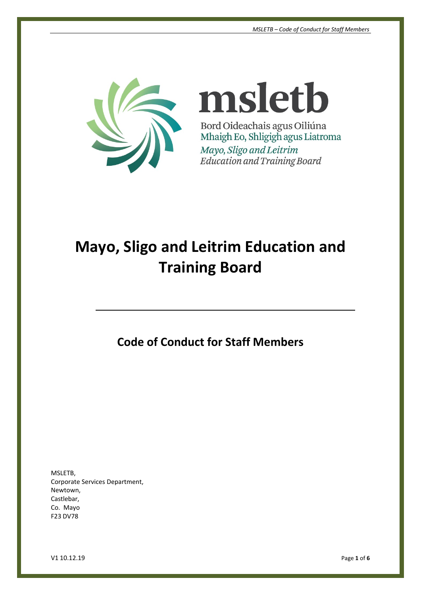

msletb Bord Oideachais agus Oiliúna Mhaigh Eo, Shligigh agus Liatroma Mayo, Sligo and Leitrim Education and Training Board

# **Mayo, Sligo and Leitrim Education and Training Board**

**Code of Conduct for Staff Members**

MSLETB, Corporate Services Department, Newtown, Castlebar, Co. Mayo F23 DV78

V1 10.12.19 Page **1** of **6**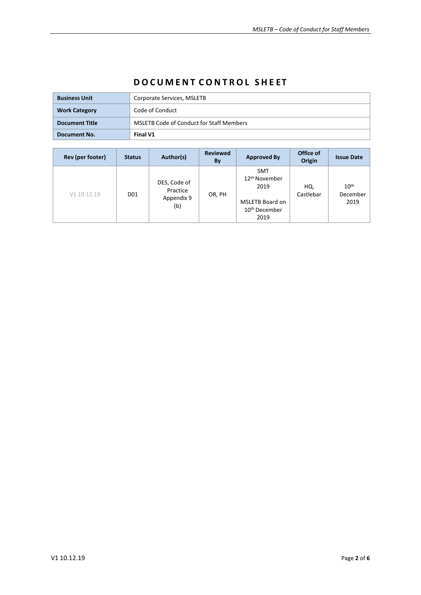| <b>Business Unit</b>  | Corporate Services, MSLETB                      |  |  |  |
|-----------------------|-------------------------------------------------|--|--|--|
| <b>Work Category</b>  | Code of Conduct                                 |  |  |  |
| <b>Document Title</b> | <b>MSLETB Code of Conduct for Staff Members</b> |  |  |  |
| Document No.          | Final V1                                        |  |  |  |

# **D O C U M E N T C O N T R O L S H E ET**

| Rev (per footer) | <b>Status</b>   | Author(s)                                     | <b>Reviewed</b><br>By | <b>Approved By</b>                                                                                             | Office of<br>Origin | <b>Issue Date</b>                    |
|------------------|-----------------|-----------------------------------------------|-----------------------|----------------------------------------------------------------------------------------------------------------|---------------------|--------------------------------------|
| V1 10.12.19      | D <sub>01</sub> | DES, Code of<br>Practice<br>Appendix 9<br>(b) | OR, PH                | <b>SMT</b><br>12 <sup>th</sup> November<br>2019<br><b>MSLETB Board on</b><br>10 <sup>th</sup> December<br>2019 | HQ,<br>Castlebar    | 10 <sup>th</sup><br>December<br>2019 |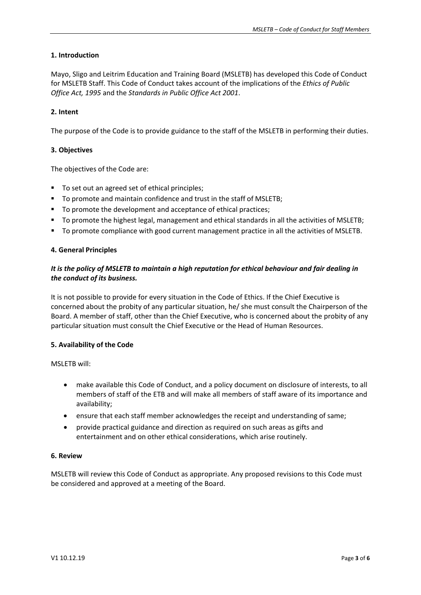# **1. Introduction**

Mayo, Sligo and Leitrim Education and Training Board (MSLETB) has developed this Code of Conduct for MSLETB Staff. This Code of Conduct takes account of the implications of the *Ethics of Public Office Act, 1995* and the *Standards in Public Office Act 2001*.

# **2. Intent**

The purpose of the Code is to provide guidance to the staff of the MSLETB in performing their duties.

# **3. Objectives**

The objectives of the Code are:

- To set out an agreed set of ethical principles;
- To promote and maintain confidence and trust in the staff of MSLETB;
- To promote the development and acceptance of ethical practices;
- To promote the highest legal, management and ethical standards in all the activities of MSLETB;
- To promote compliance with good current management practice in all the activities of MSLETB.

# **4. General Principles**

# *It is the policy of MSLETB to maintain a high reputation for ethical behaviour and fair dealing in the conduct of its business.*

It is not possible to provide for every situation in the Code of Ethics. If the Chief Executive is concerned about the probity of any particular situation, he/ she must consult the Chairperson of the Board. A member of staff, other than the Chief Executive, who is concerned about the probity of any particular situation must consult the Chief Executive or the Head of Human Resources.

#### **5. Availability of the Code**

MSLETB will:

- make available this Code of Conduct, and a policy document on disclosure of interests, to all members of staff of the ETB and will make all members of staff aware of its importance and availability;
- ensure that each staff member acknowledges the receipt and understanding of same;
- provide practical guidance and direction as required on such areas as gifts and entertainment and on other ethical considerations, which arise routinely.

#### **6. Review**

MSLETB will review this Code of Conduct as appropriate. Any proposed revisions to this Code must be considered and approved at a meeting of the Board.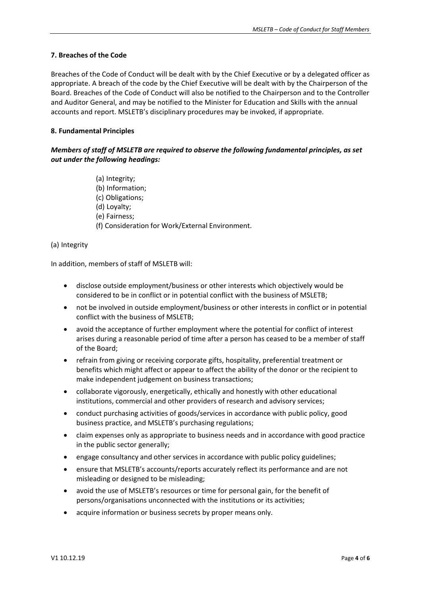# **7. Breaches of the Code**

Breaches of the Code of Conduct will be dealt with by the Chief Executive or by a delegated officer as appropriate. A breach of the code by the Chief Executive will be dealt with by the Chairperson of the Board. Breaches of the Code of Conduct will also be notified to the Chairperson and to the Controller and Auditor General, and may be notified to the Minister for Education and Skills with the annual accounts and report. MSLETB's disciplinary procedures may be invoked, if appropriate.

# **8. Fundamental Principles**

*Members of staff of MSLETB are required to observe the following fundamental principles, as set out under the following headings:*

- (a) Integrity;
- (b) Information;
- (c) Obligations;
- (d) Loyalty;
- (e) Fairness;
- (f) Consideration for Work/External Environment.

# (a) Integrity

In addition, members of staff of MSLETB will:

- disclose outside employment/business or other interests which objectively would be considered to be in conflict or in potential conflict with the business of MSLETB;
- not be involved in outside employment/business or other interests in conflict or in potential conflict with the business of MSLETB;
- avoid the acceptance of further employment where the potential for conflict of interest arises during a reasonable period of time after a person has ceased to be a member of staff of the Board;
- refrain from giving or receiving corporate gifts, hospitality, preferential treatment or benefits which might affect or appear to affect the ability of the donor or the recipient to make independent judgement on business transactions;
- collaborate vigorously, energetically, ethically and honestly with other educational institutions, commercial and other providers of research and advisory services;
- conduct purchasing activities of goods/services in accordance with public policy, good business practice, and MSLETB's purchasing regulations;
- claim expenses only as appropriate to business needs and in accordance with good practice in the public sector generally;
- engage consultancy and other services in accordance with public policy guidelines;
- ensure that MSLETB's accounts/reports accurately reflect its performance and are not misleading or designed to be misleading;
- avoid the use of MSLETB's resources or time for personal gain, for the benefit of persons/organisations unconnected with the institutions or its activities;
- acquire information or business secrets by proper means only.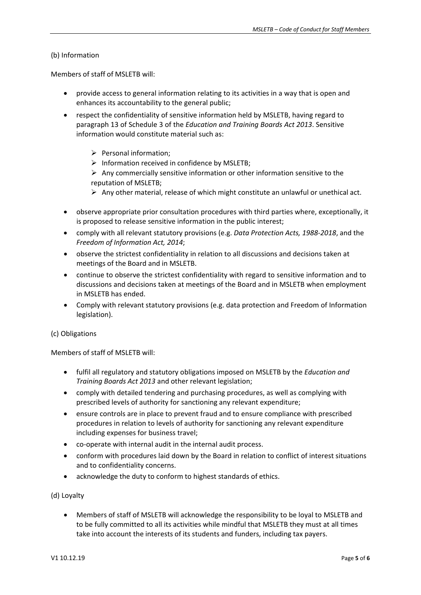# (b) Information

Members of staff of MSLETB will:

- provide access to general information relating to its activities in a way that is open and enhances its accountability to the general public;
- respect the confidentiality of sensitive information held by MSLETB, having regard to paragraph 13 of Schedule 3 of the *Education and Training Boards Act 2013*. Sensitive information would constitute material such as:
	- $\triangleright$  Personal information:
	- $\triangleright$  Information received in confidence by MSLETB;
	- $\triangleright$  Any commercially sensitive information or other information sensitive to the reputation of MSLETB;
	- $\triangleright$  Any other material, release of which might constitute an unlawful or unethical act.
- observe appropriate prior consultation procedures with third parties where, exceptionally, it is proposed to release sensitive information in the public interest;
- comply with all relevant statutory provisions (e.g. *Data Protection Acts, 1988-2018*, and the *Freedom of Information Act, 2014*;
- observe the strictest confidentiality in relation to all discussions and decisions taken at meetings of the Board and in MSLETB.
- continue to observe the strictest confidentiality with regard to sensitive information and to discussions and decisions taken at meetings of the Board and in MSLETB when employment in MSLETB has ended.
- Comply with relevant statutory provisions (e.g. data protection and Freedom of Information legislation).

#### (c) Obligations

Members of staff of MSLETB will:

- fulfil all regulatory and statutory obligations imposed on MSLETB by the *Education and Training Boards Act 2013* and other relevant legislation;
- comply with detailed tendering and purchasing procedures, as well as complying with prescribed levels of authority for sanctioning any relevant expenditure;
- ensure controls are in place to prevent fraud and to ensure compliance with prescribed procedures in relation to levels of authority for sanctioning any relevant expenditure including expenses for business travel;
- co-operate with internal audit in the internal audit process.
- conform with procedures laid down by the Board in relation to conflict of interest situations and to confidentiality concerns.
- acknowledge the duty to conform to highest standards of ethics.

(d) Loyalty

• Members of staff of MSLETB will acknowledge the responsibility to be loyal to MSLETB and to be fully committed to all its activities while mindful that MSLETB they must at all times take into account the interests of its students and funders, including tax payers.